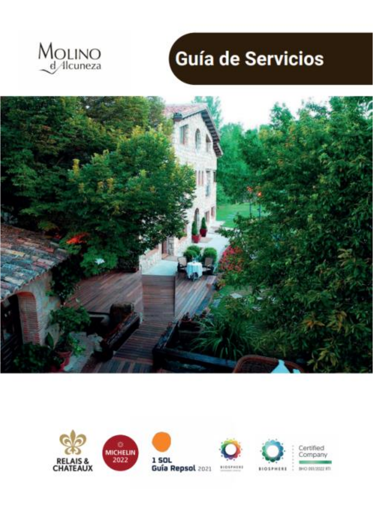

# Guía de Servicios



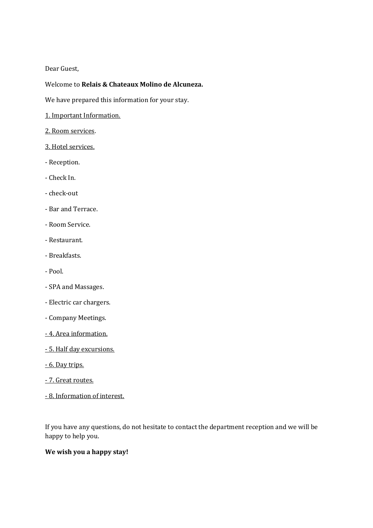#### Dear Guest,

## Welcome to **Relais & Chateaux Molino de Alcuneza.**

We have prepared this information for your stay.

- 1. Important Information.
- 2. Room services.
- 3. Hotel services.
- Reception.
- Check In.
- check-out
- Bar and Terrace.
- Room Service.
- Restaurant.
- Breakfasts.
- Pool.
- SPA and Massages.
- Electric car chargers.
- Company Meetings.
- 4. Area information.
- 5. Half day excursions.
- 6. Day trips.
- 7. Great routes.
- 8. Information of interest.

If you have any questions, do not hesitate to contact the department reception and we will be happy to help you.

#### **We wish you a happy stay!**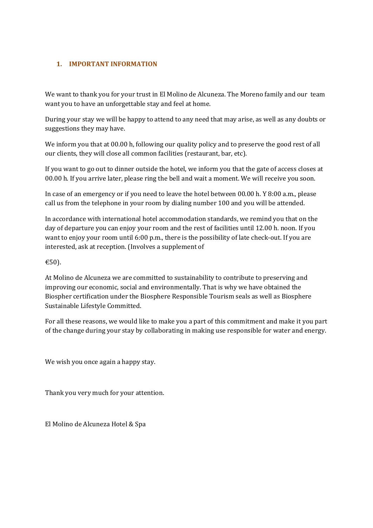# **1. IMPORTANT INFORMATION**

We want to thank you for your trust in El Molino de Alcuneza. The Moreno family and our team want you to have an unforgettable stay and feel at home.

During your stay we will be happy to attend to any need that may arise, as well as any doubts or suggestions they may have.

We inform you that at 00.00 h, following our quality policy and to preserve the good rest of all our clients, they will close all common facilities (restaurant, bar, etc).

If you want to go out to dinner outside the hotel, we inform you that the gate of access closes at 00.00 h. If you arrive later, please ring the bell and wait a moment. We will receive you soon.

In case of an emergency or if you need to leave the hotel between 00.00 h. Y 8:00 a.m., please call us from the telephone in your room by dialing number 100 and you will be attended.

In accordance with international hotel accommodation standards, we remind you that on the day of departure you can enjoy your room and the rest of facilities until 12.00 h. noon. If you want to enjoy your room until 6:00 p.m., there is the possibility of late check-out. If you are interested, ask at reception. (Involves a supplement of

# €50).

At Molino de Alcuneza we are committed to sustainability to contribute to preserving and improving our economic, social and environmentally. That is why we have obtained the Biospher certification under the Biosphere Responsible Tourism seals as well as Biosphere Sustainable Lifestyle Committed.

For all these reasons, we would like to make you a part of this commitment and make it you part of the change during your stay by collaborating in making use responsible for water and energy.

We wish you once again a happy stay.

Thank you very much for your attention.

El Molino de Alcuneza Hotel & Spa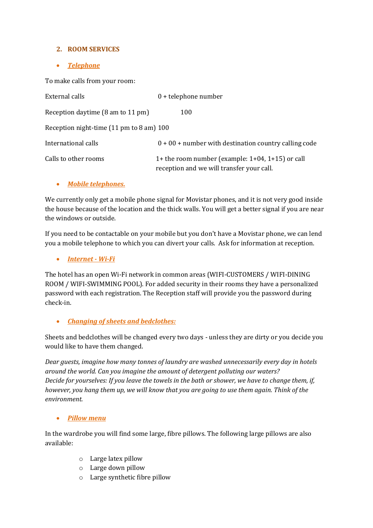# **2. ROOM SERVICES**

## *Telephone*

To make calls from your room:

| External calls                           | $0 + t$ elephone number                                                                             |
|------------------------------------------|-----------------------------------------------------------------------------------------------------|
| Reception daytime (8 am to 11 pm)        | 100                                                                                                 |
| Reception night-time (11 pm to 8 am) 100 |                                                                                                     |
| International calls                      | $0 + 00 +$ number with destination country calling code                                             |
| Calls to other rooms                     | 1+ the room number (example: $1+04$ , $1+15$ ) or call<br>reception and we will transfer your call. |

#### *Mobile telephones.*

We currently only get a mobile phone signal for Movistar phones, and it is not very good inside the house because of the location and the thick walls. You will get a better signal if you are near the windows or outside.

If you need to be contactable on your mobile but you don't have a Movistar phone, we can lend you a mobile telephone to which you can divert your calls. Ask for information at reception.

#### *Internet - Wi-Fi*

The hotel has an open Wi-Fi network in common areas (WIFI-CUSTOMERS / WIFI-DINING ROOM / WIFI-SWIMMING POOL). For added security in their rooms they have a personalized password with each registration. The Reception staff will provide you the password during check-in.

# *Changing of sheets and bedclothes:*

Sheets and bedclothes will be changed every two days - unless they are dirty or you decide you would like to have them changed.

*Dear guests, imagine how many tonnes of laundry are washed unnecessarily every day in hotels around the world. Can you imagine the amount of detergent polluting our waters? Decide for yourselves: If you leave the towels in the bath or shower, we have to change them, if, however, you hang them up, we will know that you are going to use them again. Think of the environment.*

#### *Pillow menu*

In the wardrobe you will find some large, fibre pillows. The following large pillows are also available:

- o Large latex pillow
- o Large down pillow
- o Large synthetic fibre pillow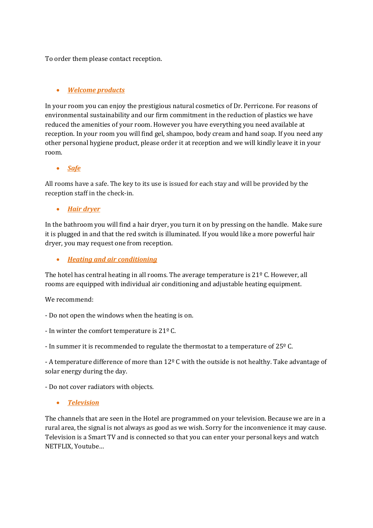To order them please contact reception.

# *Welcome products*

In your room you can enjoy the prestigious natural cosmetics of Dr. Perricone. For reasons of environmental sustainability and our firm commitment in the reduction of plastics we have reduced the amenities of your room. However you have everything you need available at reception. In your room you will find gel, shampoo, body cream and hand soap. If you need any other personal hygiene product, please order it at reception and we will kindly leave it in your room.

*Safe*

All rooms have a safe. The key to its use is issued for each stay and will be provided by the reception staff in the check-in.

*Hair dryer*

In the bathroom you will find a hair dryer, you turn it on by pressing on the handle. Make sure it is plugged in and that the red switch is illuminated. If you would like a more powerful hair dryer, you may request one from reception.

*Heating and air conditioning*

The hotel has central heating in all rooms. The average temperature is  $21^{\circ}$  C. However, all rooms are equipped with individual air conditioning and adjustable heating equipment.

We recommend:

- Do not open the windows when the heating is on.

- In winter the comfort temperature is 21º C.

- In summer it is recommended to regulate the thermostat to a temperature of 25º C.

- A temperature difference of more than 12º C with the outside is not healthy. Take advantage of solar energy during the day.

- Do not cover radiators with objects.

*Television*

The channels that are seen in the Hotel are programmed on your television. Because we are in a rural area, the signal is not always as good as we wish. Sorry for the inconvenience it may cause. Television is a Smart TV and is connected so that you can enter your personal keys and watch NETFLIX, Youtube…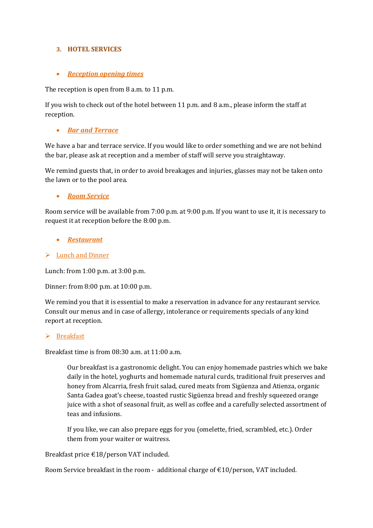## **3. HOTEL SERVICES**

## *Reception opening times*

The reception is open from 8 a.m. to 11 p.m.

If you wish to check out of the hotel between 11 p.m. and 8 a.m., please inform the staff at reception.

# *Bar and Terrace*

We have a bar and terrace service. If you would like to order something and we are not behind the bar, please ask at reception and a member of staff will serve you straightaway.

We remind guests that, in order to avoid breakages and injuries, glasses may not be taken onto the lawn or to the pool area.

# *Room Service*

Room service will be available from 7:00 p.m. at 9:00 p.m. If you want to use it, it is necessary to request it at reception before the 8:00 p.m.

- *Restaurant*
- Lunch and Dinner

Lunch: from 1:00 p.m. at 3:00 p.m.

Dinner: from 8:00 p.m. at 10:00 p.m.

We remind you that it is essential to make a reservation in advance for any restaurant service. Consult our menus and in case of allergy, intolerance or requirements specials of any kind report at reception.

#### $\triangleright$  Breakfast

Breakfast time is from 08:30 a.m. at 11:00 a.m.

Our breakfast is a gastronomic delight. You can enjoy homemade pastries which we bake daily in the hotel, yoghurts and homemade natural curds, traditional fruit preserves and honey from Alcarria, fresh fruit salad, cured meats from Sigüenza and Atienza, organic Santa Gadea goat's cheese, toasted rustic Sigüenza bread and freshly squeezed orange juice with a shot of seasonal fruit, as well as coffee and a carefully selected assortment of teas and infusions.

If you like, we can also prepare eggs for you (omelette, fried, scrambled, etc.). Order them from your waiter or waitress.

Breakfast price €18/person VAT included.

Room Service breakfast in the room - additional charge of  $\epsilon$ 10/person, VAT included.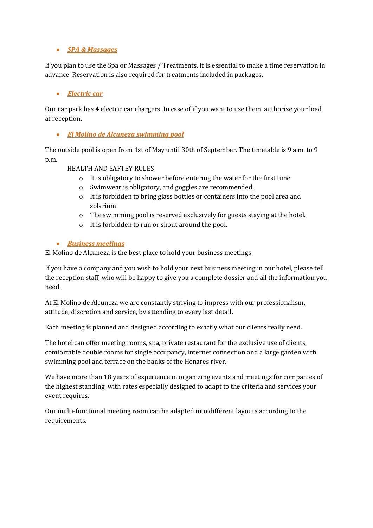#### *SPA & Massages*

If you plan to use the Spa or Massages / Treatments, it is essential to make a time reservation in advance. Reservation is also required for treatments included in packages.

#### *Electric car*

Our car park has 4 electric car chargers. In case of if you want to use them, authorize your load at reception.

*El Molino de Alcuneza swimming pool*

The outside pool is open from 1st of May until 30th of September. The timetable is 9 a.m. to 9 p.m.

#### HEALTH AND SAFTEY RULES

- o It is obligatory to shower before entering the water for the first time.
- o Swimwear is obligatory, and goggles are recommended.
- o It is forbidden to bring glass bottles or containers into the pool area and solarium.
- o The swimming pool is reserved exclusively for guests staying at the hotel.
- o It is forbidden to run or shout around the pool.

#### *Business meetings*

El Molino de Alcuneza is the best place to hold your business meetings.

If you have a company and you wish to hold your next business meeting in our hotel, please tell the reception staff, who will be happy to give you a complete dossier and all the information you need.

At El Molino de Alcuneza we are constantly striving to impress with our professionalism, attitude, discretion and service, by attending to every last detail.

Each meeting is planned and designed according to exactly what our clients really need.

The hotel can offer meeting rooms, spa, private restaurant for the exclusive use of clients, comfortable double rooms for single occupancy, internet connection and a large garden with swimming pool and terrace on the banks of the Henares river.

We have more than 18 years of experience in organizing events and meetings for companies of the highest standing, with rates especially designed to adapt to the criteria and services your event requires.

Our multi-functional meeting room can be adapted into different layouts according to the requirements.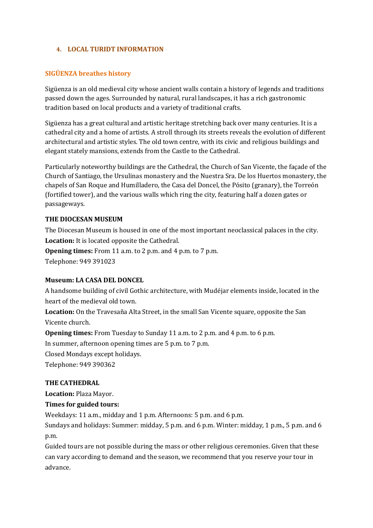#### **4. LOCAL TURIDT INFORMATION**

## **SIGÜENZA breathes history**

Sigüenza is an old medieval city whose ancient walls contain a history of legends and traditions passed down the ages. Surrounded by natural, rural landscapes, it has a rich gastronomic tradition based on local products and a variety of traditional crafts.

Sigüenza has a great cultural and artistic heritage stretching back over many centuries. It is a cathedral city and a home of artists. A stroll through its streets reveals the evolution of different architectural and artistic styles. The old town centre, with its civic and religious buildings and elegant stately mansions, extends from the Castle to the Cathedral.

Particularly noteworthy buildings are the Cathedral, the Church of San Vicente, the façade of the Church of Santiago, the Ursulinas monastery and the Nuestra Sra. De los Huertos monastery, the chapels of San Roque and Humilladero, the Casa del Doncel, the Pósito (granary), the Torreón (fortified tower), and the various walls which ring the city, featuring half a dozen gates or passageways.

#### **THE DIOCESAN MUSEUM**

The Diocesan Museum is housed in one of the most important neoclassical palaces in the city. **Location:** It is located opposite the Cathedral.

**Opening times:** From 11 a.m. to 2 p.m. and 4 p.m. to 7 p.m. Telephone: 949 391023

#### **Museum: LA CASA DEL DONCEL**

A handsome building of civil Gothic architecture, with Mudéjar elements inside, located in the heart of the medieval old town.

**Location:** On the Travesaña Alta Street, in the small San Vicente square, opposite the San Vicente church.

**Opening times:** From Tuesday to Sunday 11 a.m. to 2 p.m. and 4 p.m. to 6 p.m.

In summer, afternoon opening times are 5 p.m. to 7 p.m.

Closed Mondays except holidays.

Telephone: 949 390362

#### **THE CATHEDRAL**

**Location:** Plaza Mayor.

#### **Times for guided tours:**

Weekdays: 11 a.m., midday and 1 p.m. Afternoons: 5 p.m. and 6 p.m.

Sundays and holidays: Summer: midday, 5 p.m. and 6 p.m. Winter: midday, 1 p.m., 5 p.m. and 6 p.m.

Guided tours are not possible during the mass or other religious ceremonies. Given that these can vary according to demand and the season, we recommend that you reserve your tour in advance.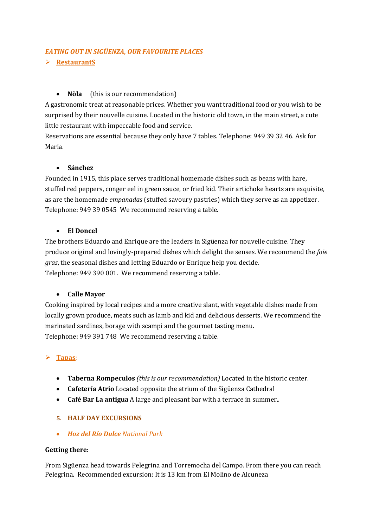# *EATING OUT IN SIGÜENZA, OUR FAVOURITE PLACES*

## **RestaurantS**

# **Nöla** (this is our recommendation)

A gastronomic treat at reasonable prices. Whether you want traditional food or you wish to be surprised by their nouvelle cuisine. Located in the historic old town, in the main street, a cute little restaurant with impeccable food and service.

Reservations are essential because they only have 7 tables. Telephone: 949 39 32 46. Ask for Maria.

#### **Sánchez**

Founded in 1915, this place serves traditional homemade dishes such as beans with hare, stuffed red peppers, conger eel in green sauce, or fried kid. Their artichoke hearts are exquisite, as are the homemade *empanadas* (stuffed savoury pastries) which they serve as an appetizer. Telephone: 949 39 0545 We recommend reserving a table.

#### **El Doncel**

The brothers Eduardo and Enrique are the leaders in Sigüenza for nouvelle cuisine. They produce original and lovingly-prepared dishes which delight the senses. We recommend the *foie gras*, the seasonal dishes and letting Eduardo or Enrique help you decide. Telephone: 949 390 001. We recommend reserving a table.

#### **Calle Mayor**

Cooking inspired by local recipes and a more creative slant, with vegetable dishes made from locally grown produce, meats such as lamb and kid and delicious desserts. We recommend the marinated sardines, borage with scampi and the gourmet tasting menu. Telephone: 949 391 748 We recommend reserving a table.

# **Tapas**:

- **Taberna Rompeculos** *(this is our recommendation)* Located in the historic center.
- **Cafetería Atrio** Located opposite the atrium of the Sigüenza Cathedral
- **Café Bar La antigua** A large and pleasant bar with a terrace in summer..

#### **5. HALF DAY EXCURSIONS**

*Hoz del Río Dulce National Park*

#### **Getting there:**

From Sigüenza head towards Pelegrina and Torremocha del Campo. From there you can reach Pelegrina. Recommended excursion: It is 13 km from El Molino de Alcuneza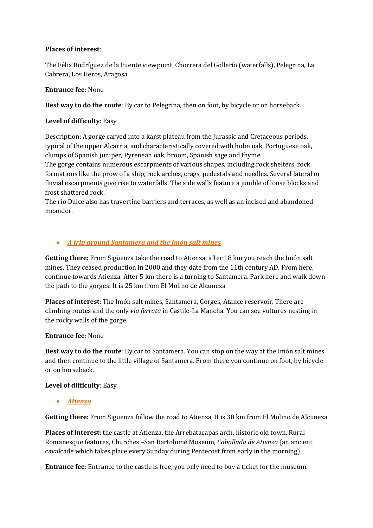## **Places of interest**:

The Félix Rodríguez de la Fuente viewpoint, Chorrera del Gollerío (waterfalls), Pelegrina, La Cabrera, Los Heros, Aragosa

## **Entrance fee**: None

**Best way to do the route**: By car to Pelegrina, then on foot, by bicycle or on horseback.

# **Level of difficulty**: Easy

Description: A gorge carved into a karst plateau from the Jurassic and Cretaceous periods, typical of the upper Alcarria, and characteristically covered with holm oak, Portuguese oak, clumps of Spanish juniper, Pyrenean oak, broom, Spanish sage and thyme.

The gorge contains numerous escarpments of various shapes, including rock shelters, rock formations like the prow of a ship, rock arches, crags, pedestals and needles. Several lateral or fluvial escarpments give rise to waterfalls. The side walls feature a jumble of loose blocks and frost shattered rock.

The río Dulce also has travertine barriers and terraces, as well as an incised and abandoned meander.

# *A trip around Santamera and the Imón salt mines*

**Getting there:** From Sigüenza take the road to Atienza, after 18 km you reach the Imón salt mines. They ceased production in 2000 and they date from the 11th century AD. From here, continue towards Atienza. After 5 km there is a turning to Santamera. Park here and walk down the path to the gorges: It is 25 km from El Molino de Alcuneza

**Places of interest**: The Imón salt mines, Santamera, Gorges, Atance reservoir. There are climbing routes and the only *via ferrata* in Castile-La Mancha. You can see vultures nesting in the rocky walls of the gorge.

#### **Entrance fee**: None

**Best way to do the route**: By car to Santamera. You can stop on the way at the Imón salt mines and then continue to the little village of Santamera. From there you continue on foot, by bicycle or on horseback.

#### **Level of difficulty**: Easy

*Atienza*

**Getting there:** From Sigüenza follow the road to Atienza, It is 38 km from El Molino de Alcuneza

**Places of interest**: the castle at Atienza, the Arrebatacapas arch, historic old town, Rural Romanesque features, Churches –San Bartolomé Museum, *Caballada de Atienza* (an ancient cavalcade which takes place every Sunday during Pentecost from early in the morning)

**Entrance fee**: Entrance to the castle is free, you only need to buy a ticket for the museum.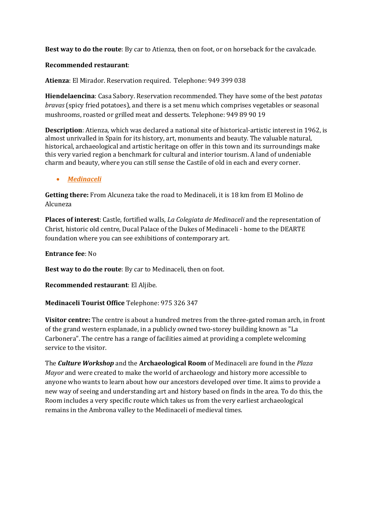**Best way to do the route**: By car to Atienza, then on foot, or on horseback for the cavalcade.

#### **Recommended restaurant**:

**Atienza**: El Mirador. Reservation required. Telephone: 949 399 038

**Hiendelaencina**: Casa Sabory. Reservation recommended. They have some of the best *patatas bravas* (spicy fried potatoes), and there is a set menu which comprises vegetables or seasonal mushrooms, roasted or grilled meat and desserts. Telephone: 949 89 90 19

**Description**: Atienza, which was declared a national site of historical-artistic interest in 1962, is almost unrivalled in Spain for its history, art, monuments and beauty. The valuable natural, historical, archaeological and artistic heritage on offer in this town and its surroundings make this very varied region a benchmark for cultural and interior tourism. A land of undeniable charm and beauty, where you can still sense the Castile of old in each and every corner.

#### *Medinaceli*

**Getting there:** From Alcuneza take the road to Medinaceli, it is 18 km from El Molino de Alcuneza

**Places of interest**: Castle, fortified walls, *La Colegiata de Medinaceli* and the representation of Christ, historic old centre, Ducal Palace of the Dukes of Medinaceli - home to the DEARTE foundation where you can see exhibitions of contemporary art.

**Entrance fee**: No

**Best way to do the route**: By car to Medinaceli, then on foot.

**Recommended restaurant**: El Aljibe.

#### **Medinaceli Tourist Office** Telephone: 975 326 347

**Visitor centre:** The centre is about a hundred metres from the three-gated roman arch, in front of the grand western esplanade, in a publicly owned two-storey building known as "La Carbonera". The centre has a range of facilities aimed at providing a complete welcoming service to the visitor.

The *Culture Workshop* and the **Archaeological Room** of Medinaceli are found in the *Plaza Mayor* and were created to make the world of archaeology and history more accessible to anyone who wants to learn about how our ancestors developed over time. It aims to provide a new way of seeing and understanding art and history based on finds in the area. To do this, the Room includes a very specific route which takes us from the very earliest archaeological remains in the Ambrona valley to the Medinaceli of medieval times.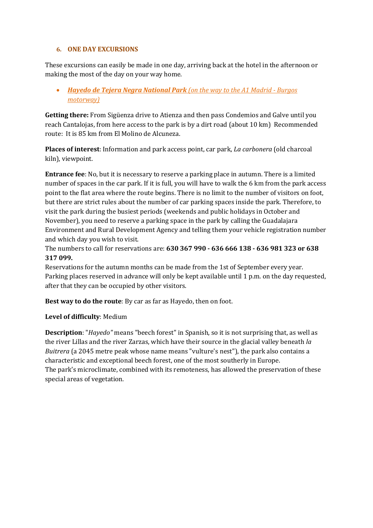#### **6. ONE DAY EXCURSIONS**

These excursions can easily be made in one day, arriving back at the hotel in the afternoon or making the most of the day on your way home.

# *Hayedo de Tejera Negra National Park (on the way to the A1 Madrid - Burgos motorway)*

**Getting there:** From Sigüenza drive to Atienza and then pass Condemios and Galve until you reach Cantalojas, from here access to the park is by a dirt road (about 10 km)Recommended route: It is 85 km from El Molino de Alcuneza.

**Places of interest**: Information and park access point, car park, *La carbonera* (old charcoal kiln), viewpoint.

**Entrance fee**: No, but it is necessary to reserve a parking place in autumn. There is a limited number of spaces in the car park. If it is full, you will have to walk the 6 km from the park access point to the flat area where the route begins. There is no limit to the number of visitors on foot, but there are strict rules about the number of car parking spaces inside the park. Therefore, to visit the park during the busiest periods (weekends and public holidays in October and November), you need to reserve a parking space in the park by calling the Guadalajara Environment and Rural Development Agency and telling them your vehicle registration number and which day you wish to visit.

The numbers to call for reservations are: **630 367 990 - 636 666 138 - 636 981 323 or 638 317 099.** 

Reservations for the autumn months can be made from the 1st of September every year. Parking places reserved in advance will only be kept available until 1 p.m. on the day requested, after that they can be occupied by other visitors.

**Best way to do the route**: By car as far as Hayedo, then on foot.

#### **Level of difficulty**: Medium

**Description**: "*Hayedo"* means "beech forest" in Spanish, so it is not surprising that, as well as the river Lillas and the river Zarzas, which have their source in the glacial valley beneath *la Buitrera* (a 2045 metre peak whose name means "vulture's nest"), the park also contains a characteristic and exceptional beech forest, one of the most southerly in Europe. The park's microclimate, combined with its remoteness, has allowed the preservation of these special areas of vegetation.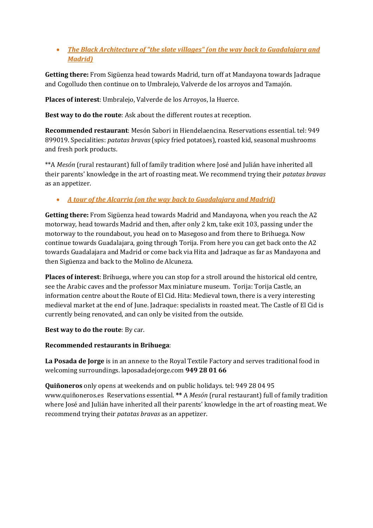# *The Black Architecture of "the slate villages" (on the way back to Guadalajara and Madrid)*

**Getting there:** From Sigüenza head towards Madrid, turn off at Mandayona towards Jadraque and Cogolludo then continue on to Umbralejo, Valverde de los arroyos and Tamajón.

**Places of interest**: Umbralejo, Valverde de los Arroyos, la Huerce.

**Best way to do the route**: Ask about the different routes at reception.

**Recommended restaurant**: Mesón Sabori in Hiendelaencina. Reservations essential. tel: 949 899019. Specialities: *patatas bravas* (spicy fried potatoes), roasted kid, seasonal mushrooms and fresh pork products.

\*\*A *Mesón* (rural restaurant) full of family tradition where José and Julián have inherited all their parents' knowledge in the art of roasting meat. We recommend trying their *patatas bravas* as an appetizer.

# *A tour of the Alcarria (on the way back to Guadalajara and Madrid)*

**Getting there:** From Sigüenza head towards Madrid and Mandayona, when you reach the A2 motorway, head towards Madrid and then, after only 2 km, take exit 103, passing under the motorway to the roundabout, you head on to Masegoso and from there to Brihuega. Now continue towards Guadalajara, going through Torija. From here you can get back onto the A2 towards Guadalajara and Madrid or come back via Hita and Jadraque as far as Mandayona and then Sigüenza and back to the Molino de Alcuneza.

**Places of interest**: Brihuega, where you can stop for a stroll around the historical old centre, see the Arabic caves and the professor Max miniature museum. Torija: Torija Castle, an information centre about the Route of El Cid. Hita: Medieval town, there is a very interesting medieval market at the end of June. Jadraque: specialists in roasted meat. The Castle of El Cid is currently being renovated, and can only be visited from the outside.

**Best way to do the route**: By car.

# **Recommended restaurants in Brihuega**:

**La Posada de Jorge** is in an annexe to the Royal Textile Factory and serves traditional food in welcoming surroundings. laposadadejorge.com **949 28 01 66**

**Quiñoneros** only opens at weekends and on public holidays. tel: 949 28 04 95 www.quiñoneros.es Reservations essential. **\*\*** A *Mesón* (rural restaurant) full of family tradition where José and Julián have inherited all their parents' knowledge in the art of roasting meat. We recommend trying their *patatas bravas* as an appetizer.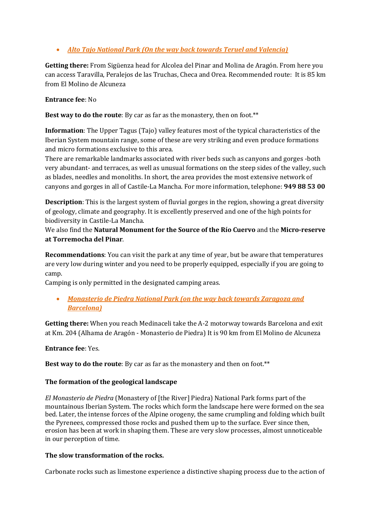# *Alto Tajo National Park (On the way back towards Teruel and Valencia)*

**Getting there:** From Sigüenza head for Alcolea del Pinar and Molina de Aragón. From here you can access Taravilla, Peralejos de las Truchas, Checa and Orea. Recommended route: It is 85 km from El Molino de Alcuneza

#### **Entrance fee**: No

**Best way to do the route**: By car as far as the monastery, then on foot.\*\*

**Information**: The Upper Tagus (Tajo) valley features most of the typical characteristics of the Iberian System mountain range, some of these are very striking and even produce formations and micro formations exclusive to this area.

There are remarkable landmarks associated with river beds such as canyons and gorges -both very abundant- and terraces, as well as unusual formations on the steep sides of the valley, such as blades, needles and monoliths. In short, the area provides the most extensive network of canyons and gorges in all of Castile-La Mancha. For more information, telephone: **949 88 53 00**

**Description**: This is the largest system of fluvial gorges in the region, showing a great diversity of geology, climate and geography. It is excellently preserved and one of the high points for biodiversity in Castile-La Mancha.

We also find the **[Natural Monument for the Source of the Río Cuervo](http://www.castillalamancha.es/medioambiente/SP/Contenidos/EspaciosNaturales/Default.asp?Registro=23&Opcion=DetalleProtegidos&Ant=Protegidos&Anterior=Espacios%20Protegidos)** and the **[Micro-reserve](http://www.castillalamancha.es/medioambiente/SP/Contenidos/EspaciosNaturales/Default.asp?Registro=30&Opcion=DetalleProtegidos&Ant=Protegidos&Anterior=Espacios%20Protegidos)  [at Torremocha del Pinar](http://www.castillalamancha.es/medioambiente/SP/Contenidos/EspaciosNaturales/Default.asp?Registro=30&Opcion=DetalleProtegidos&Ant=Protegidos&Anterior=Espacios%20Protegidos)**.

**Recommendations**: You can visit the park at any time of year, but be aware that temperatures are very low during winter and you need to be properly equipped, especially if you are going to camp.

Camping is only permitted in the designated camping areas.

 *Monasterio de Piedra National Park (on the way back towards Zaragoza and Barcelona)*

**Getting there:** When you reach Medinaceli take the A-2 motorway towards Barcelona and exit at Km. 204 (Alhama de Aragón - Monasterio de Piedra) It is 90 km from El Molino de Alcuneza

#### **Entrance fee**: Yes.

**Best way to do the route**: By car as far as the monastery and then on foot.\*\*

#### **The formation of the geological landscape**

*El Monasterio de Piedra* (Monastery of [the River] Piedra) National Park forms part of the mountainous Iberian System. The rocks which form the landscape here were formed on the sea bed. Later, the intense forces of the Alpine orogeny, the same crumpling and folding which built the Pyrenees, compressed those rocks and pushed them up to the surface. Ever since then, erosion has been at work in shaping them. These are very slow processes, almost unnoticeable in our perception of time.

#### **The slow transformation of the rocks.**

Carbonate rocks such as limestone experience a distinctive shaping process due to the action of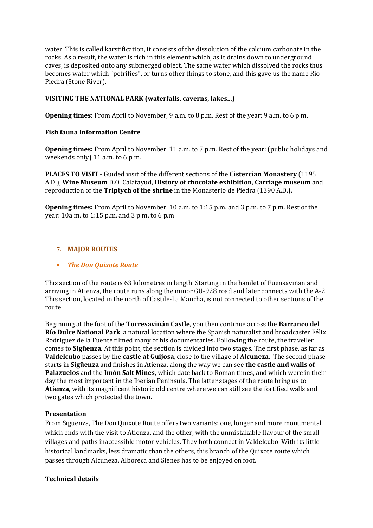water. This is called karstification, it consists of the dissolution of the calcium carbonate in the rocks. As a result, the water is rich in this element which, as it drains down to underground caves, is deposited onto any submerged object. The same water which dissolved the rocks thus becomes water which "petrifies", or turns other things to stone, and this gave us the name Río Piedra (Stone River).

## **VISITING THE NATIONAL PARK (waterfalls, caverns, lakes...)**

**Opening times:** From April to November, 9 a.m. to 8 p.m. Rest of the year: 9 a.m. to 6 p.m.

#### **Fish fauna Information Centre**

**Opening times:** From April to November, 11 a.m. to 7 p.m. Rest of the year: (public holidays and weekends only) 11 a.m. to 6 p.m.

**PLACES TO VISIT** - Guided visit of the different sections of the **Cistercian Monastery** (1195 A.D.), **Wine Museum** D.O. Calatayud, **History of chocolate exhibition**, **Carriage museum** and reproduction of the **Triptych of the shrine** in the Monasterio de Piedra (1390 A.D.).

**Opening times:** From April to November, 10 a.m. to 1:15 p.m. and 3 p.m. to 7 p.m. Rest of the year: 10a.m. to 1:15 p.m. and 3 p.m. to 6 p.m.

# **7. MAJOR ROUTES**

#### *The Don Quixote Route*

This section of the route is 63 kilometres in length. Starting in the hamlet of Fuensaviñan and arriving in Atienza, the route runs along the minor GU-928 road and later connects with the A-2. This section, located in the north of Castile-La Mancha, is not connected to other sections of the route.

Beginning at the foot of the **Torresaviñán Castle**, you then continue across the **Barranco del Río Dulce National Park**, a natural location where the Spanish naturalist and broadcaster Félix Rodriguez de la Fuente filmed many of his documentaries. Following the route, the traveller comes to **Sigüenza**. At this point, the section is divided into two stages. The first phase, as far as **Valdelcubo** passes by the **castle at Guijosa**, close to the village of **Alcuneza.** The second phase starts in **Sigüenza** and finishes in Atienza, along the way we can see **the castle and walls of Palazuelos** and the **Imón Salt Mines,** which date back to Roman times, and which were in their day the most important in the Iberian Peninsula. The latter stages of the route bring us to **Atienza**, with its magnificent historic old centre where we can still see the fortified walls and two gates which protected the town.

#### **Presentation**

From Sigüenza, The Don Quixote Route offers two variants: one, longer and more monumental which ends with the visit to Atienza, and the other, with the unmistakable flavour of the small villages and paths inaccessible motor vehicles. They both connect in Valdelcubo. With its little historical landmarks, less dramatic than the others, this branch of the Quixote route which passes through Alcuneza, Alboreca and Sienes has to be enjoyed on foot.

#### **Technical details**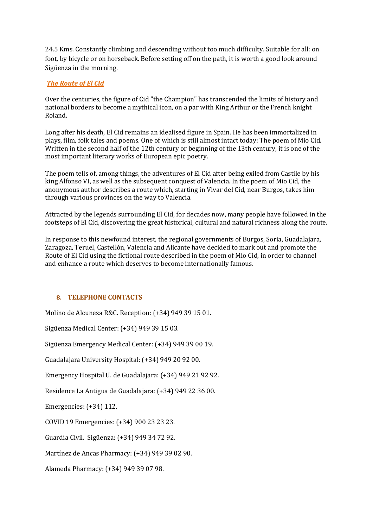24.5 Kms. Constantly climbing and descending without too much difficulty. Suitable for all: on foot, by bicycle or on horseback. Before setting off on the path, it is worth a good look around Sigüenza in the morning.

## *The Route of El Cid*

Over the centuries, the figure of Cid "the Champion" has transcended the limits of history and national borders to become a mythical icon, on a par with King Arthur or the French knight Roland.

Long after his death, El Cid remains an idealised figure in Spain. He has been immortalized in plays, film, folk tales and poems. One of which is still almost intact today: The poem of Mio Cid. Written in the second half of the 12th century or beginning of the 13th century, it is one of the most important literary works of European epic poetry.

The poem tells of, among things, the adventures of El Cid after being exiled from Castile by his king Alfonso VI, as well as the subsequent conquest of Valencia. In the poem of Mio Cid, the anonymous author describes a route which, starting in Vivar del Cid, near Burgos, takes him through various provinces on the way to Valencia.

Attracted by the legends surrounding El Cid, for decades now, many people have followed in the footsteps of El Cid, discovering the great historical, cultural and natural richness along the route.

In response to this newfound interest, the regional governments of Burgos, Soria, Guadalajara, Zaragoza, Teruel, Castellón, Valencia and Alicante have decided to mark out and promote the Route of El Cid using the fictional route described in the poem of Mio Cid, in order to channel and enhance a route which deserves to become internationally famous.

#### **8. TELEPHONE CONTACTS**

Molino de Alcuneza R&C. Reception: (+34) 949 39 15 01.

Sigüenza Medical Center: (+34) 949 39 15 03.

Sigüenza Emergency Medical Center: (+34) 949 39 00 19.

Guadalajara University Hospital: (+34) 949 20 92 00.

Emergency Hospital U. de Guadalajara: (+34) 949 21 92 92.

Residence La Antigua de Guadalajara: (+34) 949 22 36 00.

Emergencies: (+34) 112.

COVID 19 Emergencies: (+34) 900 23 23 23.

Guardia Civil. Sigüenza: (+34) 949 34 72 92.

Martínez de Ancas Pharmacy: (+34) 949 39 02 90.

Alameda Pharmacy: (+34) 949 39 07 98.